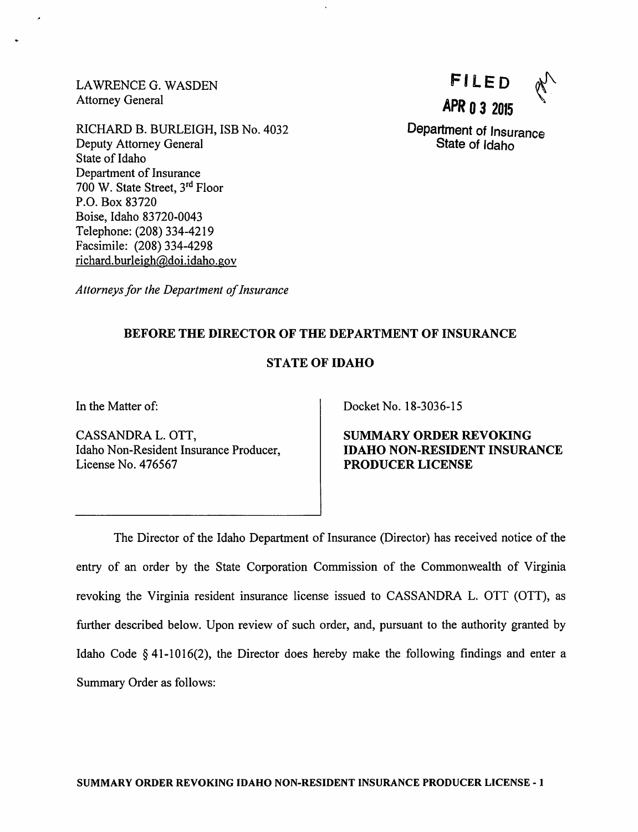LAWRENCE G. WASDEN Attorney General

RICHARD B. BURLEIGH, ISB No. 4032 Deputy Attorney General State of Idaho Department of Insurance 700 W. State Street, 3<sup>rd</sup> Floor P.O. Box 83720 Boise, Idaho 83720-0043 Telephone: (208) 334-4219 Facsimile: (208) 334-4298 richard.burleigh@doi.idaho.gov

filed APR 03 <sup>2015</sup>

Department of Insurance State of Idaho

Attorneys for the Department of Insurance

# BEFORE THE DIRECTOR OF THE DEPARTMENT OF INSURANCE

# STATE OF IDAHO

In the Matter of:

CASSANDRA L. OTT, Idaho Non-Resident Insurance Producer, License No. 476567

Docket No. 18-3036-15

SUMMARY ORDER REVOKING IDAHO NON-RESIDENT INSURANCE PRODUCER LICENSE

The Director of the Idaho Department of Insurance (Director) has received notice of the entry of an order by the State Corporation Commission of the Commonwealth of Virginia revoking the Virginia resident insurance license issued to CASSANDRA L. OTT (OTT), as further described below. Upon review of such order, and, pursuant to the authority granted by Idaho Code §41-1016(2), the Director does hereby make the following findings and enter a Summary Order as follows: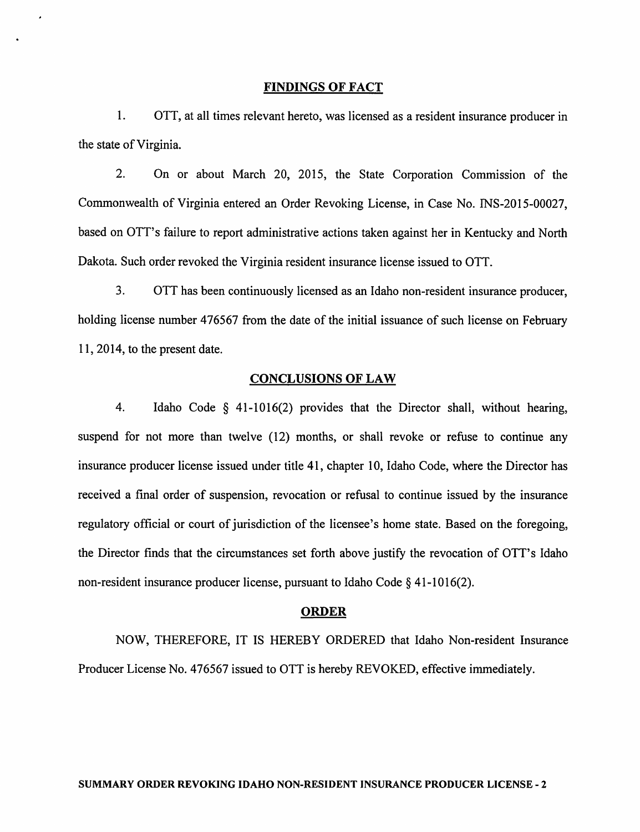#### FINDINGS OF FACT

1. OTT, at all times relevant hereto, was licensed as a resident insurance producer in the state of Virginia.

2. On or about March 20, 2015, the State Corporation Commission of the Commonwealth of Virginia entered an Order Revoking License, in Case No. INS-2015-00027, based on OTT's failure to report administrative actions taken against her in Kentucky and North Dakota. Such order revoked the Virginia resident insurance license issued to OTT.

3. OTT has been continuously licensed as an Idaho non-resident insurance producer, holding license number 476567 from the date of the initial issuance of such license on February 11, 2014, to the present date.

## CONCLUSIONS OF LAW

4. Idaho Code § 41-1016(2) provides that the Director shall, without hearing, suspend for not more than twelve (12) months, or shall revoke or refuse to continue any insurance producer license issued under title 41, chapter 10, Idaho Code, where the Director has received a final order of suspension, revocation or refusal to continue issued by the insurance regulatory official or court of jurisdiction of the licensee's home state. Based on the foregoing, the Director finds that the circumstances set forth above justify the revocation of OTT's Idaho non-resident insurance producer license, pursuant to Idaho Code § 41-1016(2).

#### ORDER

NOW, THEREFORE, IT IS HEREBY ORDERED that Idaho Non-resident Insurance Producer License No. 476567 issued to OTT is hereby REVOKED, effective immediately.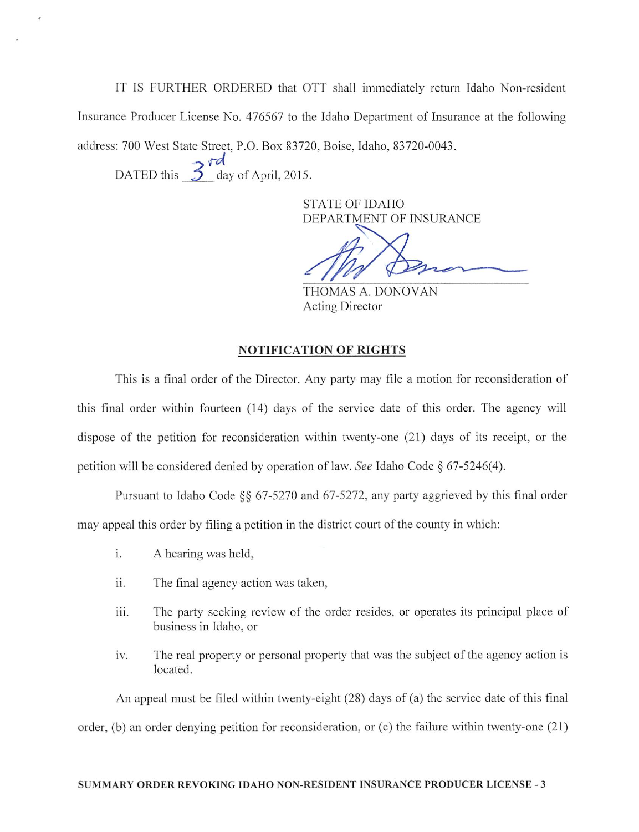IT IS FURTHER ORDERED that OTT shall immediately return Idaho Non-resident Insurance Producer License No. 476567 to the Idaho Department of Insurance at the following address: 700 West State Street, P.O. Box 83720, Boise, Idaho, 83720-0043.

DATED this  $\frac{3}{5}$  day of April, 2015.

**STATE OF IDAHO** DEPARTMENT OF INSURANCE

THOMAS A. DONOVAN Acting Director

# **NOTIFICATION OF RIGHTS**

This is a final order of the Director. Any party may file a motion for reconsideration of this final order within fourteen (14) days of the service date of this order. The agency will dispose of the petition for reconsideration within twenty-one (21) days of its receipt, or the petition will be considered denied by operation of law. See Idaho Code § 67-5246(4).

Pursuant to Idaho Code §§ 67-5270 and 67-5272, any party aggrieved by this final order may appeal this order by filing a petition in the district court of the county in which:

- i. A hearing was held,
- ii. The final agency action was taken,
- iii. The party seeking review of the order resides, or operates its principal place of business in Idaho, or
- The real property or personal property that was the subject of the agency action is iv. located.

An appeal must be filed within twenty-eight (28) days of (a) the service date of this final order, (b) an order denying petition for reconsideration, or (c) the failure within twenty-one (21)